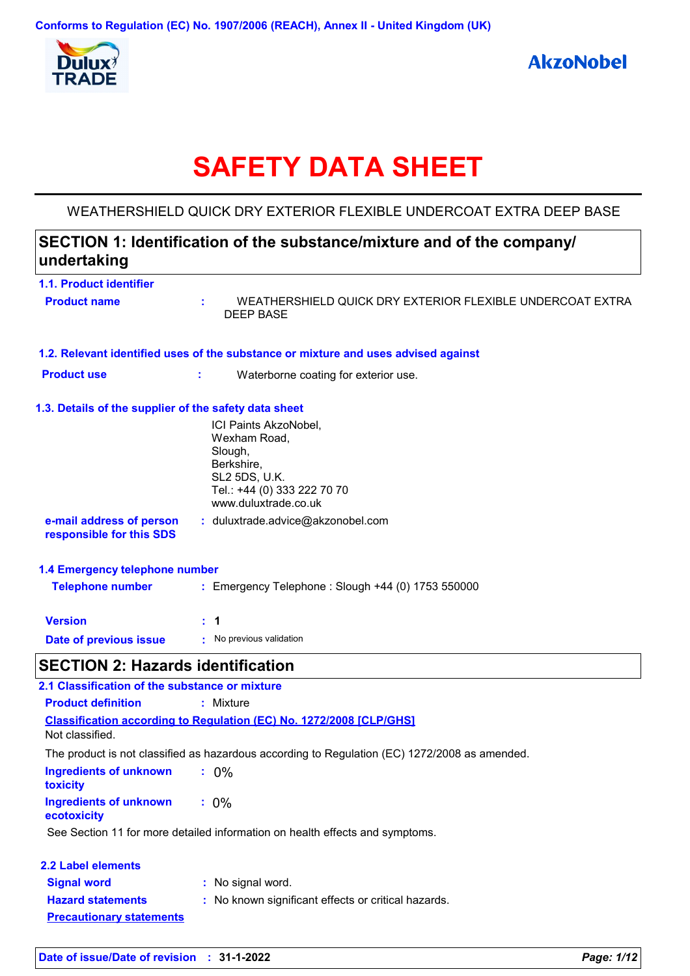

# **SAFETY DATA SHEET**

## WEATHERSHIELD QUICK DRY EXTERIOR FLEXIBLE UNDERCOAT EXTRA DEEP BASE

# **SECTION 1: Identification of the substance/mixture and of the company/ undertaking**

| 1.1. Product identifier                                     |                                                                                                                                        |
|-------------------------------------------------------------|----------------------------------------------------------------------------------------------------------------------------------------|
| <b>Product name</b>                                         | WEATHERSHIELD QUICK DRY EXTERIOR FLEXIBLE UNDERCOAT EXTRA<br>t.<br><b>DEEP BASE</b>                                                    |
|                                                             | 1.2. Relevant identified uses of the substance or mixture and uses advised against                                                     |
| <b>Product use</b>                                          | t.<br>Waterborne coating for exterior use.                                                                                             |
| 1.3. Details of the supplier of the safety data sheet       |                                                                                                                                        |
|                                                             | ICI Paints AkzoNobel,<br>Wexham Road,<br>Slough,<br>Berkshire,<br>SL2 5DS, U.K.<br>Tel.: +44 (0) 333 222 70 70<br>www.duluxtrade.co.uk |
| e-mail address of person<br>responsible for this SDS        | : duluxtrade.advice@akzonobel.com                                                                                                      |
| 1.4 Emergency telephone number                              |                                                                                                                                        |
| <b>Telephone number</b>                                     | : Emergency Telephone : Slough +44 (0) 1753 550000                                                                                     |
| <b>Version</b>                                              | : 1                                                                                                                                    |
| Date of previous issue                                      | : No previous validation                                                                                                               |
| <b>SECTION 2: Hazards identification</b>                    |                                                                                                                                        |
| 2.1 Classification of the substance or mixture              |                                                                                                                                        |
| <b>Product definition</b>                                   | : Mixture                                                                                                                              |
| Not classified.                                             | Classification according to Regulation (EC) No. 1272/2008 [CLP/GHS]                                                                    |
|                                                             | The product is not classified as hazardous according to Regulation (EC) 1272/2008 as amended.                                          |
| <b>Ingredients of unknown</b><br>toxicity                   | $: 0\%$                                                                                                                                |
| <b>Ingredients of unknown</b><br>ecotoxicity                | $: 0\%$                                                                                                                                |
|                                                             | See Section 11 for more detailed information on health effects and symptoms.                                                           |
| <b>2.2 Label elements</b>                                   |                                                                                                                                        |
| <b>Signal word</b>                                          | No signal word.                                                                                                                        |
| <b>Hazard statements</b><br><b>Precautionary statements</b> | : No known significant effects or critical hazards.                                                                                    |
|                                                             |                                                                                                                                        |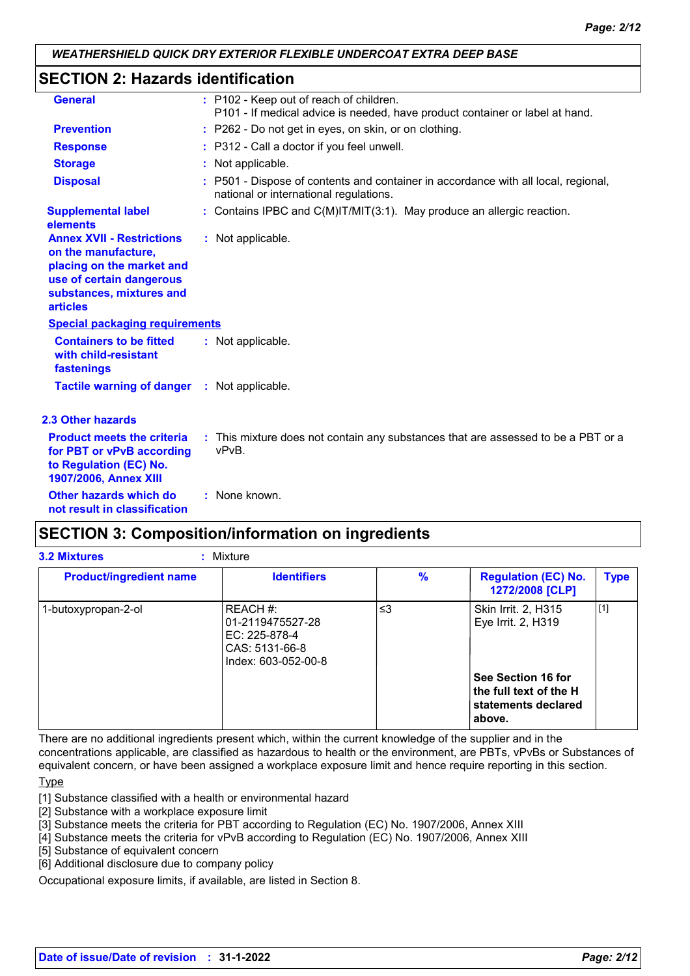## **SECTION 2: Hazards identification**

| <b>General</b>                                                                                                                                                  | : P102 - Keep out of reach of children.<br>P101 - If medical advice is needed, have product container or label at hand.      |
|-----------------------------------------------------------------------------------------------------------------------------------------------------------------|------------------------------------------------------------------------------------------------------------------------------|
| <b>Prevention</b>                                                                                                                                               | : P262 - Do not get in eyes, on skin, or on clothing.                                                                        |
| <b>Response</b>                                                                                                                                                 | : P312 - Call a doctor if you feel unwell.                                                                                   |
| <b>Storage</b>                                                                                                                                                  | : Not applicable.                                                                                                            |
| <b>Disposal</b>                                                                                                                                                 | : P501 - Dispose of contents and container in accordance with all local, regional,<br>national or international regulations. |
| <b>Supplemental label</b><br>elements                                                                                                                           | : Contains IPBC and $C(M)$ IT/MIT(3:1). May produce an allergic reaction.                                                    |
| <b>Annex XVII - Restrictions</b><br>on the manufacture,<br>placing on the market and<br>use of certain dangerous<br>substances, mixtures and<br><b>articles</b> | : Not applicable.                                                                                                            |
| <b>Special packaging requirements</b>                                                                                                                           |                                                                                                                              |
| <b>Containers to be fitted</b><br>with child-resistant<br>fastenings                                                                                            | : Not applicable.                                                                                                            |
| Tactile warning of danger : Not applicable.                                                                                                                     |                                                                                                                              |
| <b>2.3 Other hazards</b>                                                                                                                                        |                                                                                                                              |
| <b>Product meets the criteria</b><br>for PBT or vPvB according<br>to Regulation (EC) No.<br>1907/2006, Annex XIII                                               | : This mixture does not contain any substances that are assessed to be a PBT or a<br>vPvB.                                   |
| Other hazards which do<br>not result in classification                                                                                                          | : None known.                                                                                                                |

# **SECTION 3: Composition/information on ingredients**

| <b>3.2 Mixtures</b><br>: Mixture |                                                                                        |               |                                                                               |             |  |
|----------------------------------|----------------------------------------------------------------------------------------|---------------|-------------------------------------------------------------------------------|-------------|--|
| <b>Product/ingredient name</b>   | <b>Identifiers</b>                                                                     | $\frac{9}{6}$ | <b>Regulation (EC) No.</b><br>1272/2008 [CLP]                                 | <b>Type</b> |  |
| 1-butoxypropan-2-ol              | REACH #:<br>01-2119475527-28<br>EC: 225-878-4<br>CAS: 5131-66-8<br>Index: 603-052-00-8 | ≤3            | Skin Irrit. 2, H315<br>Eye Irrit. 2, H319                                     | $[1]$       |  |
|                                  |                                                                                        |               | See Section 16 for<br>the full text of the H<br>statements declared<br>above. |             |  |

There are no additional ingredients present which, within the current knowledge of the supplier and in the concentrations applicable, are classified as hazardous to health or the environment, are PBTs, vPvBs or Substances of equivalent concern, or have been assigned a workplace exposure limit and hence require reporting in this section.

**Type** 

[1] Substance classified with a health or environmental hazard

[2] Substance with a workplace exposure limit

[3] Substance meets the criteria for PBT according to Regulation (EC) No. 1907/2006, Annex XIII

[4] Substance meets the criteria for vPvB according to Regulation (EC) No. 1907/2006, Annex XIII

[5] Substance of equivalent concern

[6] Additional disclosure due to company policy

Occupational exposure limits, if available, are listed in Section 8.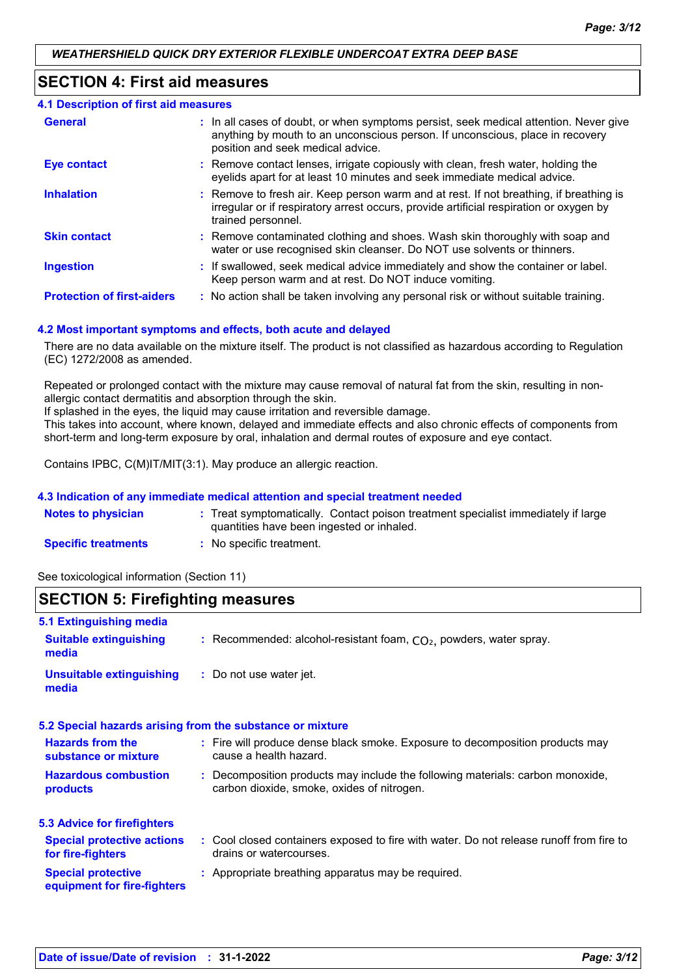## **SECTION 4: First aid measures**

| <b>4.1 Description of first aid measures</b> |                                                                                                                                                                                                             |
|----------------------------------------------|-------------------------------------------------------------------------------------------------------------------------------------------------------------------------------------------------------------|
| <b>General</b>                               | : In all cases of doubt, or when symptoms persist, seek medical attention. Never give<br>anything by mouth to an unconscious person. If unconscious, place in recovery<br>position and seek medical advice. |
| <b>Eye contact</b>                           | : Remove contact lenses, irrigate copiously with clean, fresh water, holding the<br>eyelids apart for at least 10 minutes and seek immediate medical advice.                                                |
| <b>Inhalation</b>                            | : Remove to fresh air. Keep person warm and at rest. If not breathing, if breathing is<br>irregular or if respiratory arrest occurs, provide artificial respiration or oxygen by<br>trained personnel.      |
| <b>Skin contact</b>                          | : Remove contaminated clothing and shoes. Wash skin thoroughly with soap and<br>water or use recognised skin cleanser. Do NOT use solvents or thinners.                                                     |
| <b>Ingestion</b>                             | : If swallowed, seek medical advice immediately and show the container or label.<br>Keep person warm and at rest. Do NOT induce vomiting.                                                                   |
| <b>Protection of first-aiders</b>            | : No action shall be taken involving any personal risk or without suitable training.                                                                                                                        |

## **4.2 Most important symptoms and effects, both acute and delayed**

There are no data available on the mixture itself. The product is not classified as hazardous according to Regulation (EC) 1272/2008 as amended.

Repeated or prolonged contact with the mixture may cause removal of natural fat from the skin, resulting in nonallergic contact dermatitis and absorption through the skin.

If splashed in the eyes, the liquid may cause irritation and reversible damage.

This takes into account, where known, delayed and immediate effects and also chronic effects of components from short-term and long-term exposure by oral, inhalation and dermal routes of exposure and eye contact.

Contains IPBC, C(M)IT/MIT(3:1). May produce an allergic reaction.

## **4.3 Indication of any immediate medical attention and special treatment needed**

| <b>Notes to physician</b>  | Treat symptomatically. Contact poison treatment specialist immediately if large |
|----------------------------|---------------------------------------------------------------------------------|
|                            | quantities have been ingested or inhaled.                                       |
| <b>Specific treatments</b> | No specific treatment.                                                          |

See toxicological information (Section 11)

## **SECTION 5: Firefighting measures**

| 5.1 Extinguishing media                                  |                                                                                                                              |
|----------------------------------------------------------|------------------------------------------------------------------------------------------------------------------------------|
| <b>Suitable extinguishing</b><br>media                   | : Recommended: alcohol-resistant foam, $CO2$ , powders, water spray.                                                         |
| <b>Unsuitable extinguishing</b><br>media                 | : Do not use water jet.                                                                                                      |
|                                                          | 5.2 Special hazards arising from the substance or mixture                                                                    |
| <b>Hazards from the</b><br>substance or mixture          | : Fire will produce dense black smoke. Exposure to decomposition products may<br>cause a health hazard.                      |
| <b>Hazardous combustion</b><br>products                  | : Decomposition products may include the following materials: carbon monoxide,<br>carbon dioxide, smoke, oxides of nitrogen. |
| <b>5.3 Advice for firefighters</b>                       |                                                                                                                              |
| <b>Special protective actions</b><br>for fire-fighters   | : Cool closed containers exposed to fire with water. Do not release runoff from fire to<br>drains or watercourses.           |
| <b>Special protective</b><br>equipment for fire-fighters | : Appropriate breathing apparatus may be required.                                                                           |
|                                                          |                                                                                                                              |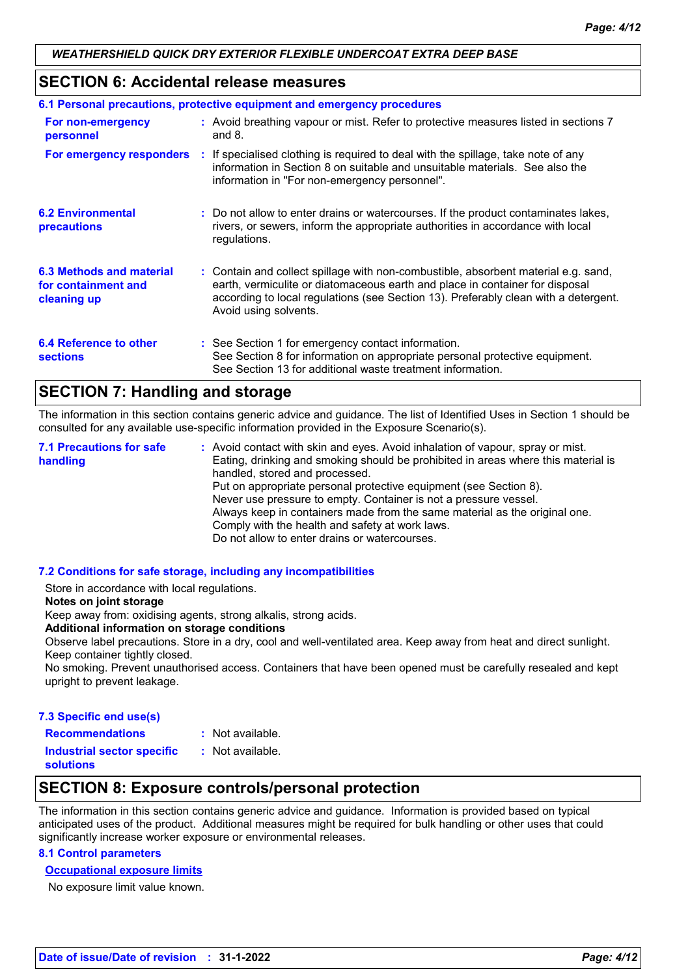## **SECTION 6: Accidental release measures**

| 6.1 Personal precautions, protective equipment and emergency procedures |  |                                                                                                                                                                                                                                                                                    |  |  |
|-------------------------------------------------------------------------|--|------------------------------------------------------------------------------------------------------------------------------------------------------------------------------------------------------------------------------------------------------------------------------------|--|--|
| For non-emergency<br>personnel                                          |  | : Avoid breathing vapour or mist. Refer to protective measures listed in sections 7<br>and $8$ .                                                                                                                                                                                   |  |  |
|                                                                         |  | For emergency responders : If specialised clothing is required to deal with the spillage, take note of any<br>information in Section 8 on suitable and unsuitable materials. See also the<br>information in "For non-emergency personnel".                                         |  |  |
| <b>6.2 Environmental</b><br>precautions                                 |  | : Do not allow to enter drains or watercourses. If the product contaminates lakes,<br>rivers, or sewers, inform the appropriate authorities in accordance with local<br>regulations.                                                                                               |  |  |
| 6.3 Methods and material<br>for containment and<br>cleaning up          |  | : Contain and collect spillage with non-combustible, absorbent material e.g. sand,<br>earth, vermiculite or diatomaceous earth and place in container for disposal<br>according to local regulations (see Section 13). Preferably clean with a detergent.<br>Avoid using solvents. |  |  |
| 6.4 Reference to other<br><b>sections</b>                               |  | : See Section 1 for emergency contact information.<br>See Section 8 for information on appropriate personal protective equipment.<br>See Section 13 for additional waste treatment information.                                                                                    |  |  |

# **SECTION 7: Handling and storage**

The information in this section contains generic advice and guidance. The list of Identified Uses in Section 1 should be consulted for any available use-specific information provided in the Exposure Scenario(s).

Avoid contact with skin and eyes. Avoid inhalation of vapour, spray or mist. **:** Eating, drinking and smoking should be prohibited in areas where this material is handled, stored and processed. Put on appropriate personal protective equipment (see Section 8). Never use pressure to empty. Container is not a pressure vessel. Always keep in containers made from the same material as the original one. Comply with the health and safety at work laws. Do not allow to enter drains or watercourses. **7.1 Precautions for safe handling**

## **7.2 Conditions for safe storage, including any incompatibilities**

Store in accordance with local regulations.

#### **Notes on joint storage**

Keep away from: oxidising agents, strong alkalis, strong acids.

**Additional information on storage conditions**

Observe label precautions. Store in a dry, cool and well-ventilated area. Keep away from heat and direct sunlight. Keep container tightly closed.

No smoking. Prevent unauthorised access. Containers that have been opened must be carefully resealed and kept upright to prevent leakage.

#### **7.3 Specific end use(s)**

**Recommendations :** : Not available. : Not available.

**Industrial sector specific : solutions**

## **SECTION 8: Exposure controls/personal protection**

The information in this section contains generic advice and guidance. Information is provided based on typical anticipated uses of the product. Additional measures might be required for bulk handling or other uses that could significantly increase worker exposure or environmental releases.

## **8.1 Control parameters**

#### **Occupational exposure limits**

No exposure limit value known.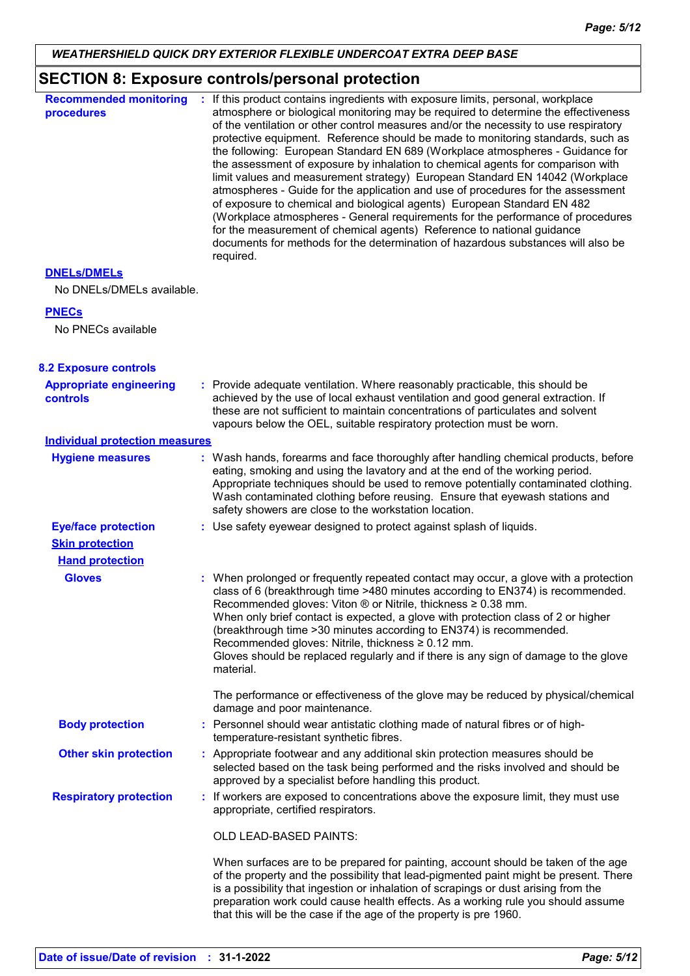# **SECTION 8: Exposure controls/personal protection**

| <b>Recommended monitoring</b><br>procedures       | If this product contains ingredients with exposure limits, personal, workplace<br>atmosphere or biological monitoring may be required to determine the effectiveness<br>of the ventilation or other control measures and/or the necessity to use respiratory<br>protective equipment. Reference should be made to monitoring standards, such as<br>the following: European Standard EN 689 (Workplace atmospheres - Guidance for<br>the assessment of exposure by inhalation to chemical agents for comparison with<br>limit values and measurement strategy) European Standard EN 14042 (Workplace<br>atmospheres - Guide for the application and use of procedures for the assessment<br>of exposure to chemical and biological agents) European Standard EN 482<br>(Workplace atmospheres - General requirements for the performance of procedures<br>for the measurement of chemical agents) Reference to national guidance<br>documents for methods for the determination of hazardous substances will also be<br>required. |
|---------------------------------------------------|----------------------------------------------------------------------------------------------------------------------------------------------------------------------------------------------------------------------------------------------------------------------------------------------------------------------------------------------------------------------------------------------------------------------------------------------------------------------------------------------------------------------------------------------------------------------------------------------------------------------------------------------------------------------------------------------------------------------------------------------------------------------------------------------------------------------------------------------------------------------------------------------------------------------------------------------------------------------------------------------------------------------------------|
| <b>DNELS/DMELS</b>                                |                                                                                                                                                                                                                                                                                                                                                                                                                                                                                                                                                                                                                                                                                                                                                                                                                                                                                                                                                                                                                                  |
| No DNELs/DMELs available.                         |                                                                                                                                                                                                                                                                                                                                                                                                                                                                                                                                                                                                                                                                                                                                                                                                                                                                                                                                                                                                                                  |
| <b>PNECs</b>                                      |                                                                                                                                                                                                                                                                                                                                                                                                                                                                                                                                                                                                                                                                                                                                                                                                                                                                                                                                                                                                                                  |
| No PNECs available                                |                                                                                                                                                                                                                                                                                                                                                                                                                                                                                                                                                                                                                                                                                                                                                                                                                                                                                                                                                                                                                                  |
| <b>8.2 Exposure controls</b>                      |                                                                                                                                                                                                                                                                                                                                                                                                                                                                                                                                                                                                                                                                                                                                                                                                                                                                                                                                                                                                                                  |
| <b>Appropriate engineering</b><br><b>controls</b> | : Provide adequate ventilation. Where reasonably practicable, this should be<br>achieved by the use of local exhaust ventilation and good general extraction. If<br>these are not sufficient to maintain concentrations of particulates and solvent<br>vapours below the OEL, suitable respiratory protection must be worn.                                                                                                                                                                                                                                                                                                                                                                                                                                                                                                                                                                                                                                                                                                      |
| <b>Individual protection measures</b>             |                                                                                                                                                                                                                                                                                                                                                                                                                                                                                                                                                                                                                                                                                                                                                                                                                                                                                                                                                                                                                                  |
| <b>Hygiene measures</b>                           | : Wash hands, forearms and face thoroughly after handling chemical products, before<br>eating, smoking and using the lavatory and at the end of the working period.<br>Appropriate techniques should be used to remove potentially contaminated clothing.<br>Wash contaminated clothing before reusing. Ensure that eyewash stations and<br>safety showers are close to the workstation location.                                                                                                                                                                                                                                                                                                                                                                                                                                                                                                                                                                                                                                |
| <b>Eye/face protection</b>                        | : Use safety eyewear designed to protect against splash of liquids.                                                                                                                                                                                                                                                                                                                                                                                                                                                                                                                                                                                                                                                                                                                                                                                                                                                                                                                                                              |
| <b>Skin protection</b>                            |                                                                                                                                                                                                                                                                                                                                                                                                                                                                                                                                                                                                                                                                                                                                                                                                                                                                                                                                                                                                                                  |
| <b>Hand protection</b>                            |                                                                                                                                                                                                                                                                                                                                                                                                                                                                                                                                                                                                                                                                                                                                                                                                                                                                                                                                                                                                                                  |
| <b>Gloves</b>                                     | : When prolonged or frequently repeated contact may occur, a glove with a protection<br>class of 6 (breakthrough time >480 minutes according to EN374) is recommended.<br>Recommended gloves: Viton $\odot$ or Nitrile, thickness $\geq 0.38$ mm.<br>When only brief contact is expected, a glove with protection class of 2 or higher<br>(breakthrough time > 30 minutes according to EN374) is recommended.<br>Recommended gloves: Nitrile, thickness ≥ 0.12 mm.<br>Gloves should be replaced regularly and if there is any sign of damage to the glove<br>material.                                                                                                                                                                                                                                                                                                                                                                                                                                                           |
|                                                   | The performance or effectiveness of the glove may be reduced by physical/chemical<br>damage and poor maintenance.                                                                                                                                                                                                                                                                                                                                                                                                                                                                                                                                                                                                                                                                                                                                                                                                                                                                                                                |
| <b>Body protection</b>                            | : Personnel should wear antistatic clothing made of natural fibres or of high-<br>temperature-resistant synthetic fibres.                                                                                                                                                                                                                                                                                                                                                                                                                                                                                                                                                                                                                                                                                                                                                                                                                                                                                                        |
| <b>Other skin protection</b>                      | : Appropriate footwear and any additional skin protection measures should be<br>selected based on the task being performed and the risks involved and should be<br>approved by a specialist before handling this product.                                                                                                                                                                                                                                                                                                                                                                                                                                                                                                                                                                                                                                                                                                                                                                                                        |
| <b>Respiratory protection</b>                     | : If workers are exposed to concentrations above the exposure limit, they must use<br>appropriate, certified respirators.                                                                                                                                                                                                                                                                                                                                                                                                                                                                                                                                                                                                                                                                                                                                                                                                                                                                                                        |
|                                                   | OLD LEAD-BASED PAINTS:                                                                                                                                                                                                                                                                                                                                                                                                                                                                                                                                                                                                                                                                                                                                                                                                                                                                                                                                                                                                           |
|                                                   | When surfaces are to be prepared for painting, account should be taken of the age<br>of the property and the possibility that lead-pigmented paint might be present. There<br>is a possibility that ingestion or inhalation of scrapings or dust arising from the<br>preparation work could cause health effects. As a working rule you should assume<br>that this will be the case if the age of the property is pre 1960.                                                                                                                                                                                                                                                                                                                                                                                                                                                                                                                                                                                                      |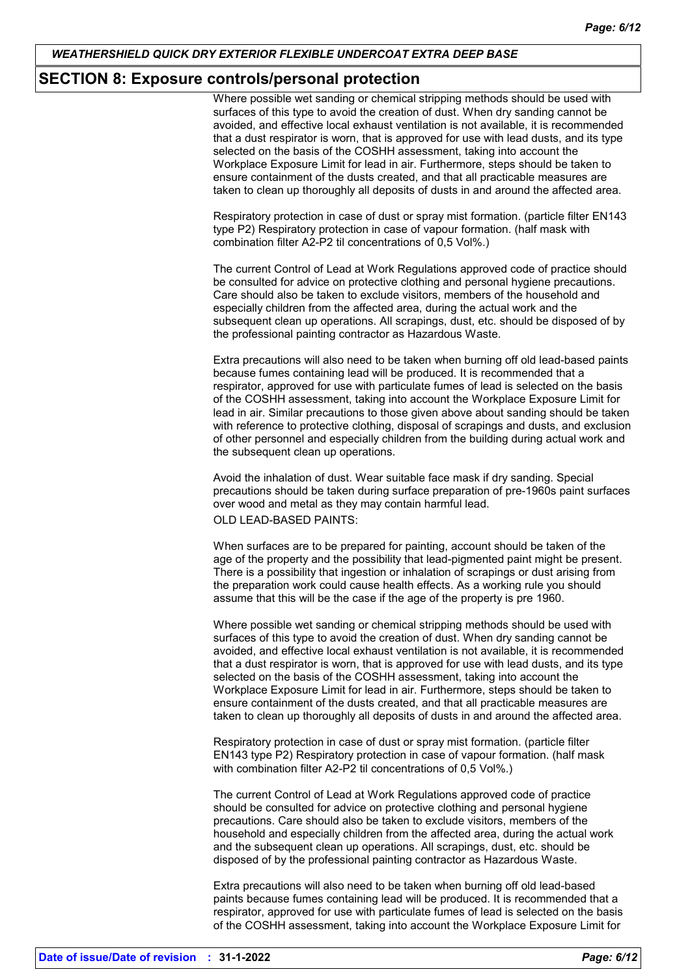## **SECTION 8: Exposure controls/personal protection**

Where possible wet sanding or chemical stripping methods should be used with surfaces of this type to avoid the creation of dust. When dry sanding cannot be avoided, and effective local exhaust ventilation is not available, it is recommended that a dust respirator is worn, that is approved for use with lead dusts, and its type selected on the basis of the COSHH assessment, taking into account the Workplace Exposure Limit for lead in air. Furthermore, steps should be taken to ensure containment of the dusts created, and that all practicable measures are taken to clean up thoroughly all deposits of dusts in and around the affected area.

Respiratory protection in case of dust or spray mist formation. (particle filter EN143 type P2) Respiratory protection in case of vapour formation. (half mask with combination filter A2-P2 til concentrations of 0,5 Vol%.)

The current Control of Lead at Work Regulations approved code of practice should be consulted for advice on protective clothing and personal hygiene precautions. Care should also be taken to exclude visitors, members of the household and especially children from the affected area, during the actual work and the subsequent clean up operations. All scrapings, dust, etc. should be disposed of by the professional painting contractor as Hazardous Waste.

Extra precautions will also need to be taken when burning off old lead-based paints because fumes containing lead will be produced. It is recommended that a respirator, approved for use with particulate fumes of lead is selected on the basis of the COSHH assessment, taking into account the Workplace Exposure Limit for lead in air. Similar precautions to those given above about sanding should be taken with reference to protective clothing, disposal of scrapings and dusts, and exclusion of other personnel and especially children from the building during actual work and the subsequent clean up operations.

Avoid the inhalation of dust. Wear suitable face mask if dry sanding. Special precautions should be taken during surface preparation of pre-1960s paint surfaces over wood and metal as they may contain harmful lead.

OLD LEAD-BASED PAINTS:

When surfaces are to be prepared for painting, account should be taken of the age of the property and the possibility that lead-pigmented paint might be present. There is a possibility that ingestion or inhalation of scrapings or dust arising from the preparation work could cause health effects. As a working rule you should assume that this will be the case if the age of the property is pre 1960.

Where possible wet sanding or chemical stripping methods should be used with surfaces of this type to avoid the creation of dust. When dry sanding cannot be avoided, and effective local exhaust ventilation is not available, it is recommended that a dust respirator is worn, that is approved for use with lead dusts, and its type selected on the basis of the COSHH assessment, taking into account the Workplace Exposure Limit for lead in air. Furthermore, steps should be taken to ensure containment of the dusts created, and that all practicable measures are taken to clean up thoroughly all deposits of dusts in and around the affected area.

Respiratory protection in case of dust or spray mist formation. (particle filter EN143 type P2) Respiratory protection in case of vapour formation. (half mask with combination filter A2-P2 til concentrations of 0,5 Vol%.)

The current Control of Lead at Work Regulations approved code of practice should be consulted for advice on protective clothing and personal hygiene precautions. Care should also be taken to exclude visitors, members of the household and especially children from the affected area, during the actual work and the subsequent clean up operations. All scrapings, dust, etc. should be disposed of by the professional painting contractor as Hazardous Waste.

Extra precautions will also need to be taken when burning off old lead-based paints because fumes containing lead will be produced. It is recommended that a respirator, approved for use with particulate fumes of lead is selected on the basis of the COSHH assessment, taking into account the Workplace Exposure Limit for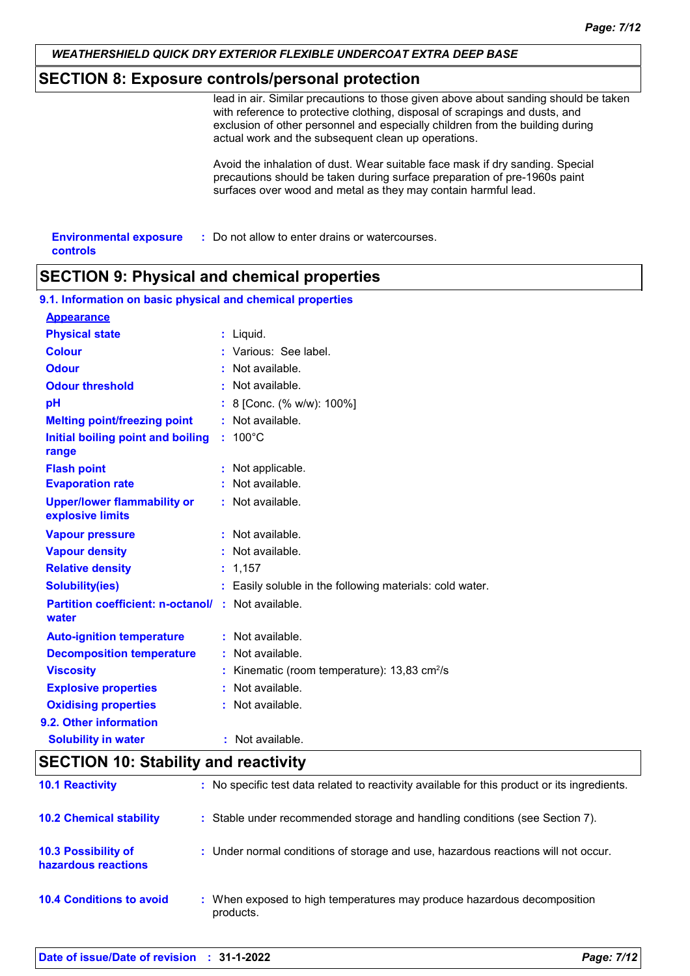# **SECTION 8: Exposure controls/personal protection**

lead in air. Similar precautions to those given above about sanding should be taken with reference to protective clothing, disposal of scrapings and dusts, and exclusion of other personnel and especially children from the building during actual work and the subsequent clean up operations.

Avoid the inhalation of dust. Wear suitable face mask if dry sanding. Special precautions should be taken during surface preparation of pre-1960s paint surfaces over wood and metal as they may contain harmful lead.

| <b>Environmental exposure</b> | : Do not allow to enter drains or watercourses. |
|-------------------------------|-------------------------------------------------|
| controls                      |                                                 |

## **SECTION 9: Physical and chemical properties**

| 9.1. Information on basic physical and chemical properties         |                                                          |
|--------------------------------------------------------------------|----------------------------------------------------------|
| <b>Appearance</b>                                                  |                                                          |
| <b>Physical state</b>                                              | : Liquid.                                                |
| <b>Colour</b>                                                      | : Various: See label.                                    |
| <b>Odour</b>                                                       | Not available.                                           |
| <b>Odour threshold</b>                                             | Not available.                                           |
| pH                                                                 | 8 [Conc. (% w/w): 100%]                                  |
| <b>Melting point/freezing point</b>                                | : Not available.                                         |
| Initial boiling point and boiling<br>range                         | $: 100^{\circ}$ C                                        |
| <b>Flash point</b>                                                 | Not applicable.                                          |
| <b>Evaporation rate</b>                                            | Not available.                                           |
| <b>Upper/lower flammability or</b><br>explosive limits             | : Not available.                                         |
| <b>Vapour pressure</b>                                             | : Not available.                                         |
| <b>Vapour density</b>                                              | : Not available.                                         |
| <b>Relative density</b>                                            | : 1,157                                                  |
| <b>Solubility(ies)</b>                                             | : Easily soluble in the following materials: cold water. |
| <b>Partition coefficient: n-octanol/ : Not available.</b><br>water |                                                          |
| <b>Auto-ignition temperature</b>                                   | : Not available.                                         |
| <b>Decomposition temperature</b>                                   | : Not available.                                         |
| <b>Viscosity</b>                                                   | Kinematic (room temperature): $13,83$ cm <sup>2</sup> /s |
| <b>Explosive properties</b>                                        | : Not available.                                         |
| <b>Oxidising properties</b>                                        | : Not available.                                         |
| 9.2. Other information                                             |                                                          |
| <b>Solubility in water</b>                                         | : Not available.                                         |

# **SECTION 10: Stability and reactivity**

| <b>10.1 Reactivity</b>                            | : No specific test data related to reactivity available for this product or its ingredients. |
|---------------------------------------------------|----------------------------------------------------------------------------------------------|
| <b>10.2 Chemical stability</b>                    | : Stable under recommended storage and handling conditions (see Section 7).                  |
| <b>10.3 Possibility of</b><br>hazardous reactions | : Under normal conditions of storage and use, hazardous reactions will not occur.            |
| <b>10.4 Conditions to avoid</b>                   | : When exposed to high temperatures may produce hazardous decomposition<br>products.         |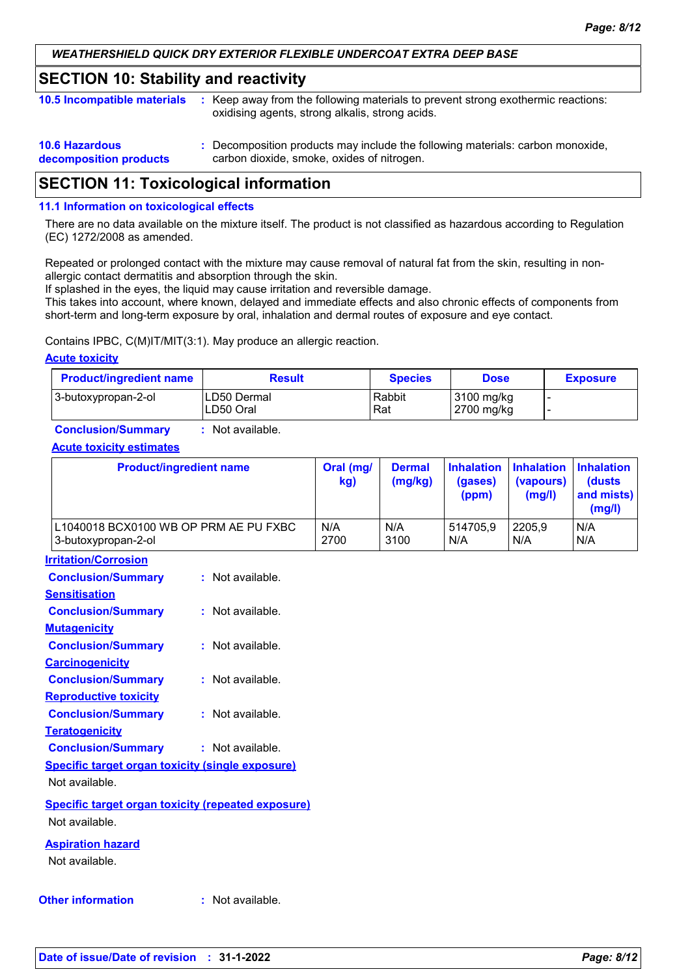## **SECTION 10: Stability and reactivity**

|  | 10.5 Incompatible materials : Keep away from the following materials to prevent strong exothermic reactions: |
|--|--------------------------------------------------------------------------------------------------------------|
|  | oxidising agents, strong alkalis, strong acids.                                                              |
|  |                                                                                                              |

| <b>10.6 Hazardous</b>  | : Decomposition products may include the following materials: carbon monoxide, |
|------------------------|--------------------------------------------------------------------------------|
| decomposition products | carbon dioxide, smoke, oxides of nitrogen.                                     |

# **SECTION 11: Toxicological information**

#### **11.1 Information on toxicological effects**

There are no data available on the mixture itself. The product is not classified as hazardous according to Regulation (EC) 1272/2008 as amended.

Repeated or prolonged contact with the mixture may cause removal of natural fat from the skin, resulting in nonallergic contact dermatitis and absorption through the skin.

If splashed in the eyes, the liquid may cause irritation and reversible damage.

This takes into account, where known, delayed and immediate effects and also chronic effects of components from short-term and long-term exposure by oral, inhalation and dermal routes of exposure and eye contact.

Contains IPBC, C(M)IT/MIT(3:1). May produce an allergic reaction.

#### **Acute toxicity**

| <b>Product/ingredient name</b> | <b>Result</b>                     | <b>Species</b> | <b>Dose</b>              | <b>Exposure</b> |
|--------------------------------|-----------------------------------|----------------|--------------------------|-----------------|
| 3-butoxypropan-2-ol            | <b>ILD50 Dermal</b><br>ILD50 Oral | Rabbit<br>Rat  | 3100 mg/kg<br>2700 mg/kg |                 |

**Conclusion/Summary :** Not available.

#### **Acute toxicity estimates**

| <b>Product/ingredient name</b>        | Oral (mg/<br>kg) | <b>Dermal</b><br>(mg/kg) | (gases)<br>(ppm) | Inhalation Inhalation Inhalation<br>(vapours)<br>(mg/l) | <b>(dusts)</b><br>and mists)<br>(mg/l) |
|---------------------------------------|------------------|--------------------------|------------------|---------------------------------------------------------|----------------------------------------|
| L1040018 BCX0100 WB OP PRM AE PU FXBC | N/A              | N/A                      | 514705.9         | 2205.9                                                  | N/A                                    |
| 3-butoxypropan-2-ol                   | 2700             | 3100                     | N/A              | N/A                                                     | N/A                                    |

**Irritation/Corrosion**

| <b>Conclusion/Summary</b>                                 | : Not available. |
|-----------------------------------------------------------|------------------|
| <b>Sensitisation</b>                                      |                  |
| <b>Conclusion/Summary</b>                                 | : Not available. |
| <b>Mutagenicity</b>                                       |                  |
| <b>Conclusion/Summary</b>                                 | : Not available. |
| <b>Carcinogenicity</b>                                    |                  |
| <b>Conclusion/Summary</b>                                 | : Not available. |
| <b>Reproductive toxicity</b>                              |                  |
| <b>Conclusion/Summary</b>                                 | : Not available. |
| <b>Teratogenicity</b>                                     |                  |
| <b>Conclusion/Summary</b>                                 | : Not available. |
| <b>Specific target organ toxicity (single exposure)</b>   |                  |
| Not available.                                            |                  |
| <b>Specific target organ toxicity (repeated exposure)</b> |                  |
| Not available.                                            |                  |

**Aspiration hazard**

Not available.

#### **Other information :**

: Not available.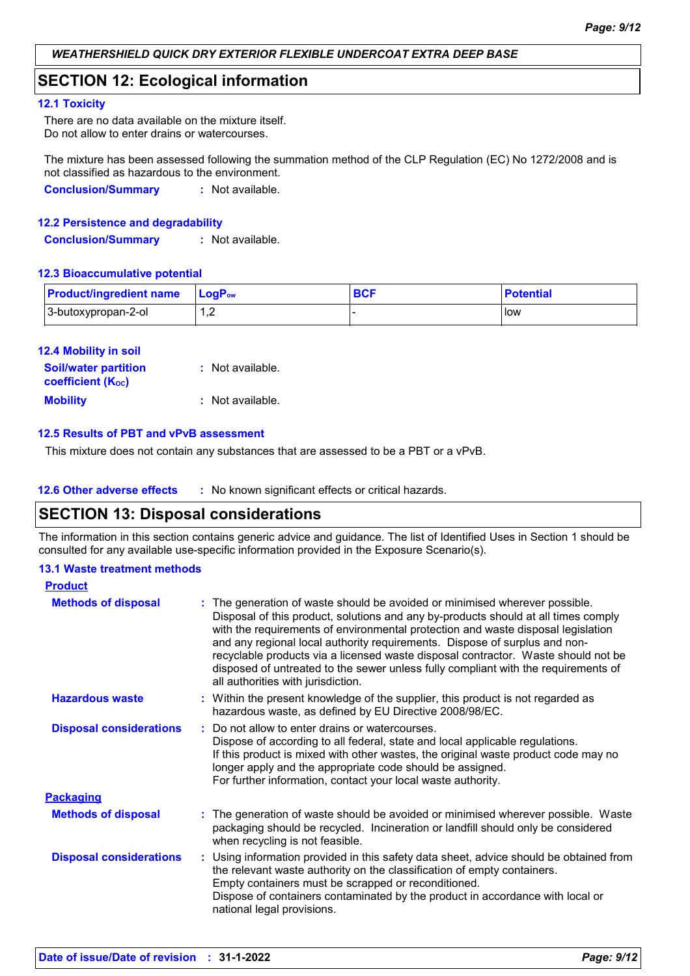# **SECTION 12: Ecological information**

#### **12.1 Toxicity**

There are no data available on the mixture itself. Do not allow to enter drains or watercourses.

The mixture has been assessed following the summation method of the CLP Regulation (EC) No 1272/2008 and is not classified as hazardous to the environment.

**Conclusion/Summary :** Not available.

#### **12.2 Persistence and degradability**

**Conclusion/Summary :** Not available.

#### **12.3 Bioaccumulative potential**

| <b>Product/ingredient name</b> | <b>LogP</b> <sub>ow</sub> | <b>Potential</b> |
|--------------------------------|---------------------------|------------------|
| 3-butoxypropan-2-ol            | . . <u>.</u>              | <b>I</b> low     |

| <b>12.4 Mobility in soil</b> |                  |
|------------------------------|------------------|
| <b>Soil/water partition</b>  | : Not available. |
| <b>coefficient (Koc)</b>     |                  |
| <b>Mobility</b>              | : Not available. |

#### **12.5 Results of PBT and vPvB assessment**

This mixture does not contain any substances that are assessed to be a PBT or a vPvB.

**12.6 Other adverse effects** : No known significant effects or critical hazards.

# **SECTION 13: Disposal considerations**

The information in this section contains generic advice and guidance. The list of Identified Uses in Section 1 should be consulted for any available use-specific information provided in the Exposure Scenario(s).

#### **13.1 Waste treatment methods**

| <b>Product</b>                 |                                                                                                                                                                                                                                                                                                                                                                                                                                                                                                                                                      |  |
|--------------------------------|------------------------------------------------------------------------------------------------------------------------------------------------------------------------------------------------------------------------------------------------------------------------------------------------------------------------------------------------------------------------------------------------------------------------------------------------------------------------------------------------------------------------------------------------------|--|
| <b>Methods of disposal</b>     | : The generation of waste should be avoided or minimised wherever possible.<br>Disposal of this product, solutions and any by-products should at all times comply<br>with the requirements of environmental protection and waste disposal legislation<br>and any regional local authority requirements. Dispose of surplus and non-<br>recyclable products via a licensed waste disposal contractor. Waste should not be<br>disposed of untreated to the sewer unless fully compliant with the requirements of<br>all authorities with jurisdiction. |  |
| <b>Hazardous waste</b>         | : Within the present knowledge of the supplier, this product is not regarded as<br>hazardous waste, as defined by EU Directive 2008/98/EC.                                                                                                                                                                                                                                                                                                                                                                                                           |  |
| <b>Disposal considerations</b> | Do not allow to enter drains or watercourses.<br>Dispose of according to all federal, state and local applicable regulations.<br>If this product is mixed with other wastes, the original waste product code may no<br>longer apply and the appropriate code should be assigned.<br>For further information, contact your local waste authority.                                                                                                                                                                                                     |  |
| <b>Packaging</b>               |                                                                                                                                                                                                                                                                                                                                                                                                                                                                                                                                                      |  |
| <b>Methods of disposal</b>     | : The generation of waste should be avoided or minimised wherever possible. Waste<br>packaging should be recycled. Incineration or landfill should only be considered<br>when recycling is not feasible.                                                                                                                                                                                                                                                                                                                                             |  |
| <b>Disposal considerations</b> | : Using information provided in this safety data sheet, advice should be obtained from<br>the relevant waste authority on the classification of empty containers.<br>Empty containers must be scrapped or reconditioned.<br>Dispose of containers contaminated by the product in accordance with local or<br>national legal provisions.                                                                                                                                                                                                              |  |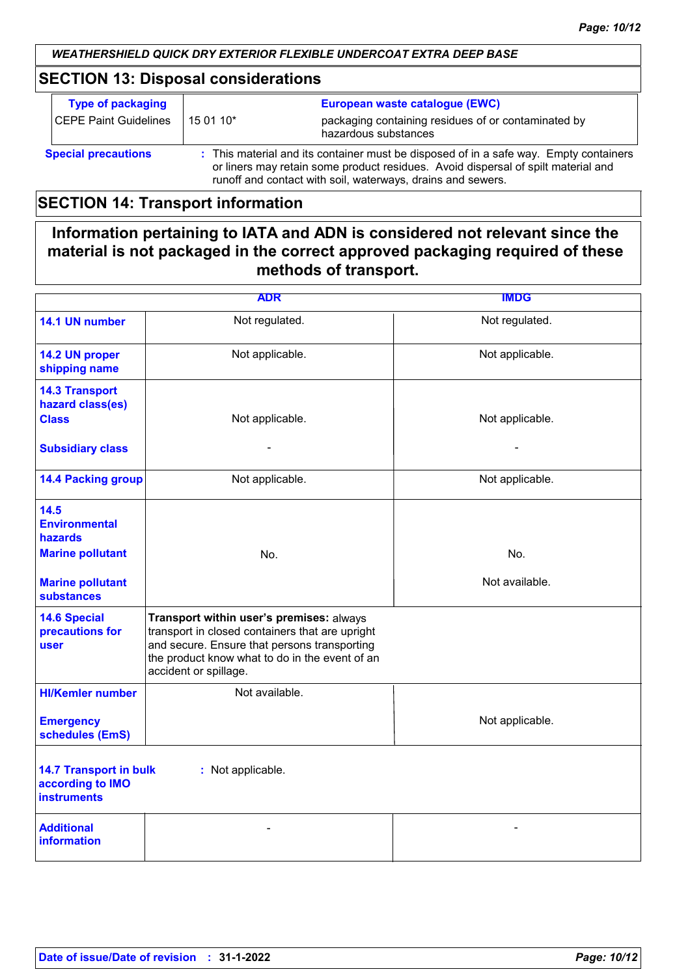# **SECTION 13: Disposal considerations**

| <b>Type of packaging</b><br>CEPE Paint Guidelines | 15 01 10* | European waste catalogue (EWC)<br>packaging containing residues of or contaminated by                                                                                                                                                     |
|---------------------------------------------------|-----------|-------------------------------------------------------------------------------------------------------------------------------------------------------------------------------------------------------------------------------------------|
|                                                   |           | hazardous substances                                                                                                                                                                                                                      |
| <b>Special precautions</b>                        |           | : This material and its container must be disposed of in a safe way. Empty containers<br>or liners may retain some product residues. Avoid dispersal of spilt material and<br>runoff and contact with soil, waterways, drains and sewers. |

# **SECTION 14: Transport information**

# **Information pertaining to IATA and ADN is considered not relevant since the material is not packaged in the correct approved packaging required of these methods of transport.**

|                                                                         | <b>ADR</b>                                                                                                                                                                                                             | <b>IMDG</b>     |
|-------------------------------------------------------------------------|------------------------------------------------------------------------------------------------------------------------------------------------------------------------------------------------------------------------|-----------------|
| 14.1 UN number                                                          | Not regulated.                                                                                                                                                                                                         | Not regulated.  |
| 14.2 UN proper<br>shipping name                                         | Not applicable.                                                                                                                                                                                                        | Not applicable. |
| <b>14.3 Transport</b><br>hazard class(es)<br><b>Class</b>               | Not applicable.                                                                                                                                                                                                        | Not applicable. |
| <b>Subsidiary class</b>                                                 | ٠                                                                                                                                                                                                                      |                 |
| <b>14.4 Packing group</b>                                               | Not applicable.                                                                                                                                                                                                        | Not applicable. |
| 14.5<br><b>Environmental</b><br>hazards                                 |                                                                                                                                                                                                                        |                 |
| <b>Marine pollutant</b>                                                 | No.                                                                                                                                                                                                                    | No.             |
| <b>Marine pollutant</b><br><b>substances</b>                            |                                                                                                                                                                                                                        | Not available.  |
| <b>14.6 Special</b><br>precautions for<br><b>user</b>                   | Transport within user's premises: always<br>transport in closed containers that are upright<br>and secure. Ensure that persons transporting<br>the product know what to do in the event of an<br>accident or spillage. |                 |
| <b>HI/Kemler number</b>                                                 | Not available.                                                                                                                                                                                                         |                 |
| <b>Emergency</b><br>schedules (EmS)                                     |                                                                                                                                                                                                                        | Not applicable. |
| <b>14.7 Transport in bulk</b><br>according to IMO<br><b>instruments</b> | : Not applicable.                                                                                                                                                                                                      |                 |
| <b>Additional</b><br><b>information</b>                                 |                                                                                                                                                                                                                        |                 |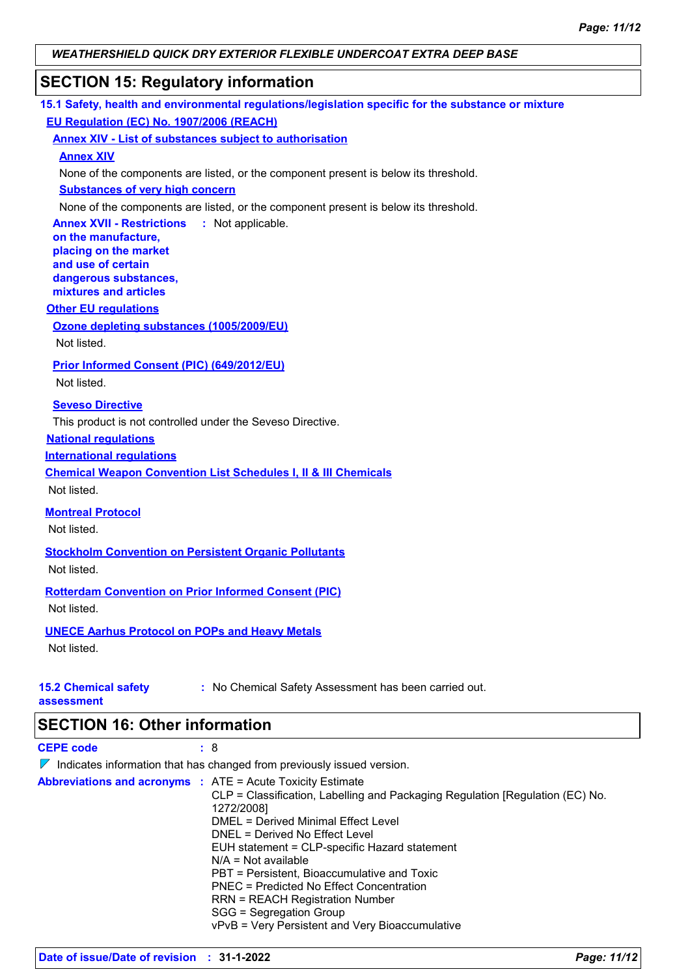# **SECTION 15: Regulatory information**

|                                                                           | 15.1 Safety, health and environmental regulations/legislation specific for the substance or mixture |
|---------------------------------------------------------------------------|-----------------------------------------------------------------------------------------------------|
| EU Regulation (EC) No. 1907/2006 (REACH)                                  |                                                                                                     |
| <b>Annex XIV - List of substances subject to authorisation</b>            |                                                                                                     |
| <b>Annex XIV</b>                                                          |                                                                                                     |
|                                                                           | None of the components are listed, or the component present is below its threshold.                 |
| <b>Substances of very high concern</b>                                    |                                                                                                     |
|                                                                           | None of the components are listed, or the component present is below its threshold.                 |
| <b>Annex XVII - Restrictions : Not applicable.</b><br>on the manufacture, |                                                                                                     |
| placing on the market                                                     |                                                                                                     |
| and use of certain                                                        |                                                                                                     |
| dangerous substances,<br>mixtures and articles                            |                                                                                                     |
| <b>Other EU regulations</b>                                               |                                                                                                     |
| Ozone depleting substances (1005/2009/EU)                                 |                                                                                                     |
| Not listed.                                                               |                                                                                                     |
|                                                                           |                                                                                                     |
| Prior Informed Consent (PIC) (649/2012/EU)<br>Not listed.                 |                                                                                                     |
|                                                                           |                                                                                                     |
| <b>Seveso Directive</b>                                                   |                                                                                                     |
| This product is not controlled under the Seveso Directive.                |                                                                                                     |
| <b>National regulations</b>                                               |                                                                                                     |
| <b>International requlations</b>                                          |                                                                                                     |
| Not listed.                                                               | <b>Chemical Weapon Convention List Schedules I, II &amp; III Chemicals</b>                          |
|                                                                           |                                                                                                     |
| <b>Montreal Protocol</b>                                                  |                                                                                                     |
| Not listed.                                                               |                                                                                                     |
| <b>Stockholm Convention on Persistent Organic Pollutants</b>              |                                                                                                     |
| Not listed.                                                               |                                                                                                     |
| <b>Rotterdam Convention on Prior Informed Consent (PIC)</b>               |                                                                                                     |
| Not listed.                                                               |                                                                                                     |
| <b>UNECE Aarhus Protocol on POPs and Heavy Metals</b>                     |                                                                                                     |
| Not listed.                                                               |                                                                                                     |
|                                                                           |                                                                                                     |
| <b>15.2 Chemical safety</b>                                               | : No Chemical Safety Assessment has been carried out.                                               |
| assessment                                                                |                                                                                                     |
| <b>SECTION 16: Other information</b>                                      |                                                                                                     |
| <b>CEPE code</b><br>: 8                                                   |                                                                                                     |
|                                                                           | $\nabla$ Indicates information that has changed from previously issued version.                     |
| Abbreviations and acronyms : ATE = Acute Toxicity Estimate                |                                                                                                     |
|                                                                           | CLP = Classification, Labelling and Packaging Regulation [Regulation (EC) No.                       |
|                                                                           | 1272/2008]                                                                                          |
|                                                                           | <b>DMEL = Derived Minimal Effect Level</b>                                                          |

DNEL = Derived No Effect Level

N/A = Not available

SGG = Segregation Group

EUH statement = CLP-specific Hazard statement

vPvB = Very Persistent and Very Bioaccumulative

PBT = Persistent, Bioaccumulative and Toxic PNEC = Predicted No Effect Concentration RRN = REACH Registration Number